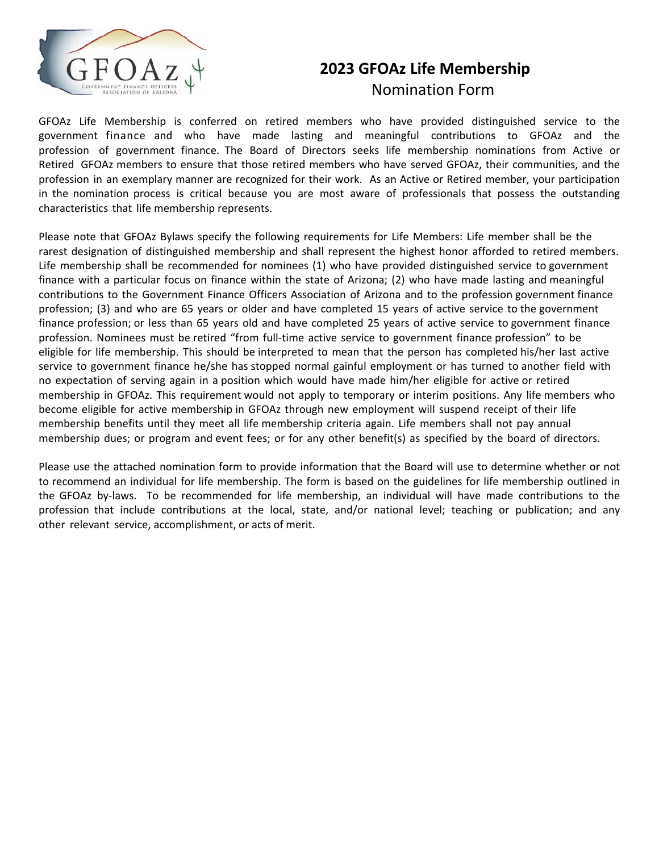

## **2023 GFOAz Life Membership** Nomination Form

GFOAz Life Membership is conferred on retired members who have provided distinguished service to the government finance and who have made lasting and meaningful contributions to GFOAz and the profession of government finance. The Board of Directors seeks life membership nominations from Active or Retired GFOAz members to ensure that those retired members who have served GFOAz, their communities, and the profession in an exemplary manner are recognized for their work. As an Active or Retired member, your participation in the nomination process is critical because you are most aware of professionals that possess the outstanding characteristics that life membership represents.

Please note that GFOAz Bylaws specify the following requirements for Life Members: Life member shall be the rarest designation of distinguished membership and shall represent the highest honor afforded to retired members. Life membership shall be recommended for nominees (1) who have provided distinguished service to government finance with a particular focus on finance within the state of Arizona; (2) who have made lasting and meaningful contributions to the Government Finance Officers Association of Arizona and to the profession government finance profession; (3) and who are 65 years or older and have completed 15 years of active service to the government finance profession; or less than 65 years old and have completed 25 years of active service to government finance profession. Nominees must be retired "from full-time active service to government finance profession" to be eligible for life membership. This should be interpreted to mean that the person has completed his/her last active service to government finance he/she has stopped normal gainful employment or has turned to another field with no expectation of serving again in a position which would have made him/her eligible for active or retired membership in GFOAz. This requirement would not apply to temporary or interim positions. Any life members who become eligible for active membership in GFOAz through new employment will suspend receipt of their life membership benefits until they meet all life membership criteria again. Life members shall not pay annual membership dues; or program and event fees; or for any other benefit(s) as specified by the board of directors.

Please use the attached nomination form to provide information that the Board will use to determine whether or not to recommend an individual for life membership. The form is based on the guidelines for life membership outlined in the GFOAz by-laws. To be recommended for life membership, an individual will have made contributions to the profession that include contributions at the local, state, and/or national level; teaching or publication; and any other relevant service, accomplishment, or acts of merit.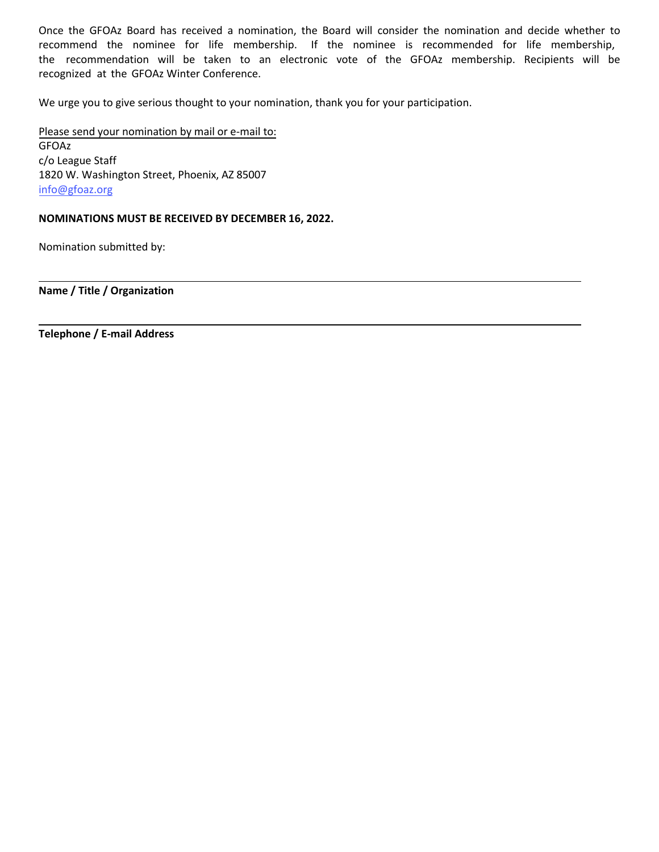Once the GFOAz Board has received a nomination, the Board will consider the nomination and decide whether to recommend the nominee for life membership. If the nominee is recommended for life membership, the recommendation will be taken to an electronic vote of the GFOAz membership. Recipients will be recognized at the GFOAz Winter Conference.

We urge you to give serious thought to your nomination, thank you for your participation.

Please send your nomination by mail or e-mail to: GFOAz c/o League Staff 1820 W. Washington Street, Phoenix, AZ 85007 info@[gfoaz.org](mailto:info@gfoaz.org) 

## **NOMINATIONS MUST BE RECEIVED BY DECEMBER 16, 2022.**

Nomination submitted by:

**Name / Title / Organization**

**Telephone / E-mail Address**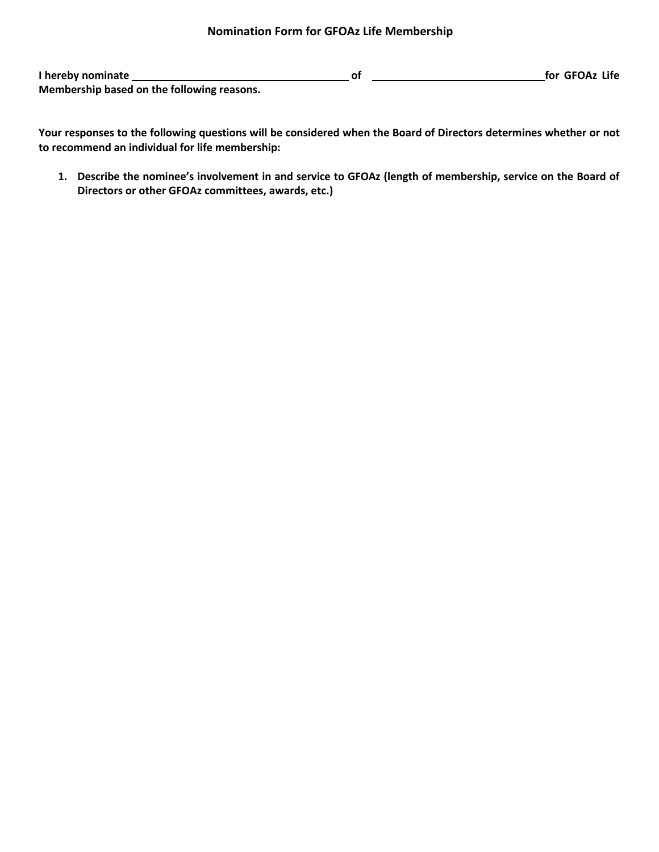## **Nomination Form for GFOAz Life Membership**

**I** hereby nominate <u>**for f**or **GFOAz** Life **of** *for <b>GFOAz* Life</u> **Membership based on the following reasons.**

**Your responses to the following questions will be considered when the Board of Directors determines whether or not to recommend an individual for life membership:** 

**1. Describe the nominee's involvement in and service to GFOAz (length of membership, service on the Board of Directors or other GFOAz committees, awards, etc.)**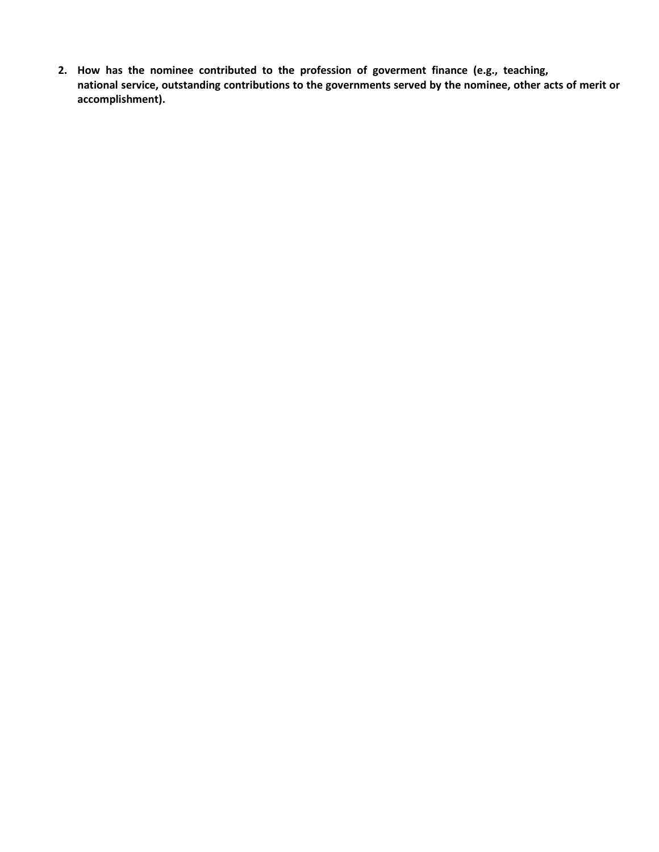**2. How has the nominee contributed to the profession of goverment finance (e.g., teaching, national service, outstanding contributions to the governments served by the nominee, other acts of merit or accomplishment).**